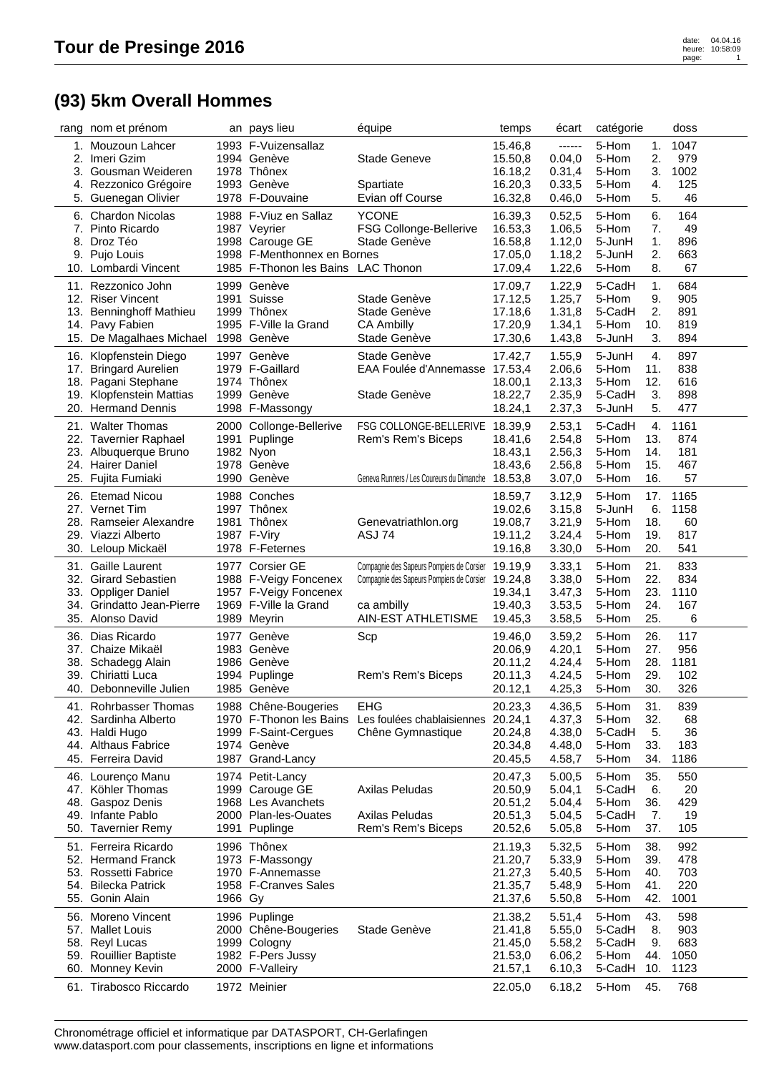|     | rang nom et prénom                    |         | an pays lieu                        | équipe                                            | temps   | écart            | catégorie |     | doss |  |
|-----|---------------------------------------|---------|-------------------------------------|---------------------------------------------------|---------|------------------|-----------|-----|------|--|
|     | 1. Mouzoun Lahcer                     |         | 1993 F-Vuizensallaz                 |                                                   | 15.46,8 | ------           | 5-Hom     | 1.  | 1047 |  |
| 2.  | Imeri Gzim                            |         | 1994 Genève                         | <b>Stade Geneve</b>                               | 15.50,8 | 0.04,0           | 5-Hom     | 2.  | 979  |  |
| 3.  | Gousman Weideren                      |         | 1978 Thônex                         |                                                   | 16.18,2 | 0.31,4           | 5-Hom     | 3.  | 1002 |  |
|     | 4. Rezzonico Grégoire                 |         | 1993 Genève                         | Spartiate                                         | 16.20,3 | 0.33,5           | 5-Hom     | 4.  | 125  |  |
|     | 5. Guenegan Olivier                   |         | 1978 F-Douvaine                     | Evian off Course                                  | 16.32,8 | 0.46,0           | 5-Hom     | 5.  | 46   |  |
|     | 6. Chardon Nicolas                    |         | 1988 F-Viuz en Sallaz               | <b>YCONE</b>                                      | 16.39,3 | 0.52,5           | 5-Hom     | 6.  | 164  |  |
|     | 7. Pinto Ricardo                      |         | 1987 Veyrier                        | FSG Collonge-Bellerive                            | 16.53,3 | 1.06,5           | 5-Hom     | 7.  | 49   |  |
|     | 8. Droz Téo                           |         | 1998 Carouge GE                     | Stade Genève                                      | 16.58,8 | 1.12,0           | 5-JunH    | 1.  | 896  |  |
|     | 9. Pujo Louis                         |         | 1998 F-Menthonnex en Bornes         |                                                   | 17.05,0 | 1.18,2           | 5-JunH    | 2.  | 663  |  |
|     | 10. Lombardi Vincent                  |         | 1985 F-Thonon les Bains LAC Thonon  |                                                   | 17.09,4 | 1.22,6           | 5-Hom     | 8.  | 67   |  |
|     |                                       |         |                                     |                                                   |         |                  |           |     |      |  |
|     | 11. Rezzonico John                    |         | 1999 Genève                         |                                                   | 17.09,7 | 1.22,9           | 5-CadH    | 1.  | 684  |  |
|     | 12. Riser Vincent                     |         | 1991 Suisse                         | Stade Genève                                      | 17.12,5 | 1.25,7           | 5-Hom     | 9.  | 905  |  |
| 13. | <b>Benninghoff Mathieu</b>            |         | 1999 Thônex                         | Stade Genève                                      | 17.18,6 | 1.31,8           | 5-CadH    | 2.  | 891  |  |
|     | 14. Pavy Fabien                       |         | 1995 F-Ville la Grand               | <b>CA Ambilly</b>                                 | 17.20,9 | 1.34,1           | 5-Hom     | 10. | 819  |  |
|     | 15. De Magalhaes Michael              |         | 1998 Genève                         | Stade Genève                                      | 17.30,6 | 1.43,8           | 5-JunH    | 3.  | 894  |  |
|     | 16. Klopfenstein Diego                |         | 1997 Genève                         | Stade Genève                                      | 17.42,7 | 1.55,9           | 5-JunH    | 4.  | 897  |  |
|     | 17. Bringard Aurelien                 |         | 1979 F-Gaillard                     | EAA Foulée d'Annemasse                            | 17.53,4 | 2.06,6           | 5-Hom     | 11. | 838  |  |
|     | 18. Pagani Stephane                   |         | 1974 Thônex                         |                                                   | 18.00,1 | 2.13,3           | 5-Hom     | 12. | 616  |  |
|     | 19. Klopfenstein Mattias              |         | 1999 Genève                         | Stade Genève                                      | 18.22,7 | 2.35,9           | 5-CadH    | 3.  | 898  |  |
|     | 20. Hermand Dennis                    |         | 1998 F-Massongy                     |                                                   | 18.24,1 | 2.37,3           | 5-JunH    | 5.  | 477  |  |
|     | 21. Walter Thomas                     |         | 2000 Collonge-Bellerive             | FSG COLLONGE-BELLERIVE                            | 18.39,9 | 2.53,1           | 5-CadH    | 4.  | 1161 |  |
|     | 22. Tavernier Raphael                 | 1991    | Puplinge                            | Rem's Rem's Biceps                                | 18.41,6 | 2.54,8           | 5-Hom     | 13. | 874  |  |
|     | 23. Albuquerque Bruno                 |         | 1982 Nyon                           |                                                   | 18.43,1 | 2.56,3           | 5-Hom     | 14. | 181  |  |
|     | 24. Hairer Daniel                     |         | 1978 Genève                         |                                                   | 18.43,6 | 2.56,8           | 5-Hom     | 15. | 467  |  |
|     | 25. Fujita Fumiaki                    |         | 1990 Genève                         | Geneva Runners / Les Coureurs du Dimanche         | 18.53,8 | 3.07,0           | 5-Hom     | 16. | 57   |  |
|     |                                       |         |                                     |                                                   |         |                  |           |     |      |  |
|     | 26. Etemad Nicou                      |         | 1988 Conches                        |                                                   | 18.59,7 | 3.12,9           | 5-Hom     | 17. | 1165 |  |
|     | 27. Vernet Tim                        |         | 1997 Thônex                         |                                                   | 19.02,6 | 3.15,8           | 5-JunH    | 6.  | 1158 |  |
|     | 28. Ramseier Alexandre                |         | 1981 Thônex                         | Genevatriathlon.org                               | 19.08,7 | 3.21,9           | 5-Hom     | 18. | 60   |  |
|     | 29. Viazzi Alberto                    |         | 1987 F-Viry                         | <b>ASJ 74</b>                                     | 19.11,2 | 3.24,4           | 5-Hom     | 19. | 817  |  |
|     | 30. Leloup Mickaël                    |         | 1978 F-Feternes                     |                                                   | 19.16,8 | 3.30,0           | 5-Hom     | 20. | 541  |  |
|     | 31. Gaille Laurent                    |         | 1977 Corsier GE                     | Compagnie des Sapeurs Pompiers de Corsier 19.19,9 |         | 3.33,1           | 5-Hom     | 21. | 833  |  |
|     | 32. Girard Sebastien                  |         | 1988 F-Veigy Foncenex               | Compagnie des Sapeurs Pompiers de Corsier 19.24,8 |         | 3.38,0           | 5-Hom     | 22. | 834  |  |
| 33. | <b>Oppliger Daniel</b>                |         | 1957 F-Veigy Foncenex               |                                                   | 19.34,1 | 3.47,3           | 5-Hom     | 23. | 1110 |  |
|     | 34. Grindatto Jean-Pierre             |         | 1969 F-Ville la Grand               | ca ambilly                                        | 19.40,3 | 3.53,5           | 5-Hom     | 24. | 167  |  |
|     | 35. Alonso David                      |         | 1989 Meyrin                         | AIN-EST ATHLETISME                                | 19.45,3 | 3.58,5           | 5-Hom     | 25. | 6    |  |
|     | 36. Dias Ricardo                      |         | 1977 Genève                         | Scp                                               | 19.46,0 | 3.59,2           | 5-Hom     | 26. | 117  |  |
|     | 37. Chaize Mikaël                     |         | 1983 Genève                         |                                                   | 20.06,9 | 4.20,1           | 5-Hom     | 27. | 956  |  |
|     | 38. Schadegg Alain                    |         | 1986 Genève                         |                                                   | 20.11,2 | 4.24,4           | 5-Hom     | 28. | 1181 |  |
|     | 39. Chiriatti Luca                    |         | 1994 Puplinge                       | Rem's Rem's Biceps                                | 20.11,3 | 4.24,5           | 5-Hom     | 29. | 102  |  |
|     | 40. Debonneville Julien               |         | 1985 Genève                         |                                                   | 20.12,1 | 4.25,3           | 5-Hom     | 30. | 326  |  |
|     | 41. Rohrbasser Thomas                 |         | 1988 Chêne-Bougeries                | <b>EHG</b>                                        | 20.23,3 | 4.36,5           | 5-Hom     | 31. | 839  |  |
|     | 42. Sardinha Alberto                  |         | 1970 F-Thonon les Bains             | Les foulées chablaisiennes 20.24,1                |         | 4.37,3           | 5-Hom     | 32. | 68   |  |
|     |                                       |         |                                     |                                                   | 20.24,8 |                  | 5-CadH    | 5.  | 36   |  |
|     | 43. Haldi Hugo<br>44. Althaus Fabrice |         | 1999 F-Saint-Cergues<br>1974 Genève | Chêne Gymnastique                                 | 20.34,8 | 4.38,0<br>4.48,0 | 5-Hom     | 33. | 183  |  |
|     | 45. Ferreira David                    |         | 1987 Grand-Lancy                    |                                                   | 20.45,5 | 4.58,7           | 5-Hom     | 34. | 1186 |  |
|     |                                       |         |                                     |                                                   |         |                  |           |     |      |  |
|     | 46. Lourenço Manu                     |         | 1974 Petit-Lancy                    |                                                   | 20.47,3 | 5.00,5           | 5-Hom     | 35. | 550  |  |
|     | 47. Köhler Thomas                     |         | 1999 Carouge GE                     | Axilas Peludas                                    | 20.50,9 | 5.04,1           | 5-CadH    | 6.  | 20   |  |
| 48. | Gaspoz Denis                          |         | 1968 Les Avanchets                  |                                                   | 20.51,2 | 5.04,4           | 5-Hom     | 36. | 429  |  |
|     | 49. Infante Pablo                     |         | 2000 Plan-les-Ouates                | Axilas Peludas                                    | 20.51,3 | 5.04,5           | 5-CadH    | 7.  | 19   |  |
|     | 50. Tavernier Remy                    |         | 1991 Puplinge                       | Rem's Rem's Biceps                                | 20.52,6 | 5.05,8           | 5-Hom     | 37. | 105  |  |
|     | 51. Ferreira Ricardo                  |         | 1996 Thônex                         |                                                   | 21.19,3 | 5.32,5           | 5-Hom     | 38. | 992  |  |
|     | 52. Hermand Franck                    |         | 1973 F-Massongy                     |                                                   | 21.20,7 | 5.33,9           | 5-Hom     | 39. | 478  |  |
|     | 53. Rossetti Fabrice                  |         | 1970 F-Annemasse                    |                                                   | 21.27,3 | 5.40,5           | 5-Hom     | 40. | 703  |  |
| 54. | <b>Bilecka Patrick</b>                |         | 1958 F-Cranves Sales                |                                                   | 21.35,7 | 5.48,9           | 5-Hom     | 41. | 220  |  |
| 55. | Gonin Alain                           | 1966 Gy |                                     |                                                   | 21.37,6 | 5.50,8           | 5-Hom     | 42. | 1001 |  |
| 56. | Moreno Vincent                        |         | 1996 Puplinge                       |                                                   | 21.38,2 | 5.51,4           | 5-Hom     | 43. | 598  |  |
|     | 57. Mallet Louis                      |         | 2000 Chêne-Bougeries                | Stade Genève                                      | 21.41,8 | 5.55,0           | 5-CadH    | 8.  | 903  |  |
| 58. | <b>Reyl Lucas</b>                     |         | 1999 Cologny                        |                                                   | 21.45,0 | 5.58,2           | 5-CadH    | 9.  | 683  |  |
| 59. | <b>Rouillier Baptiste</b>             |         | 1982 F-Pers Jussy                   |                                                   | 21.53,0 | 6.06,2           | 5-Hom     | 44. | 1050 |  |
| 60. | <b>Monney Kevin</b>                   |         | 2000 F-Valleiry                     |                                                   | 21.57,1 | 6.10,3           | 5-CadH    | 10. | 1123 |  |
|     |                                       |         |                                     |                                                   |         |                  |           |     |      |  |
|     | 61. Tirabosco Riccardo                |         | 1972 Meinier                        |                                                   | 22.05,0 | 6.18,2           | 5-Hom     | 45. | 768  |  |